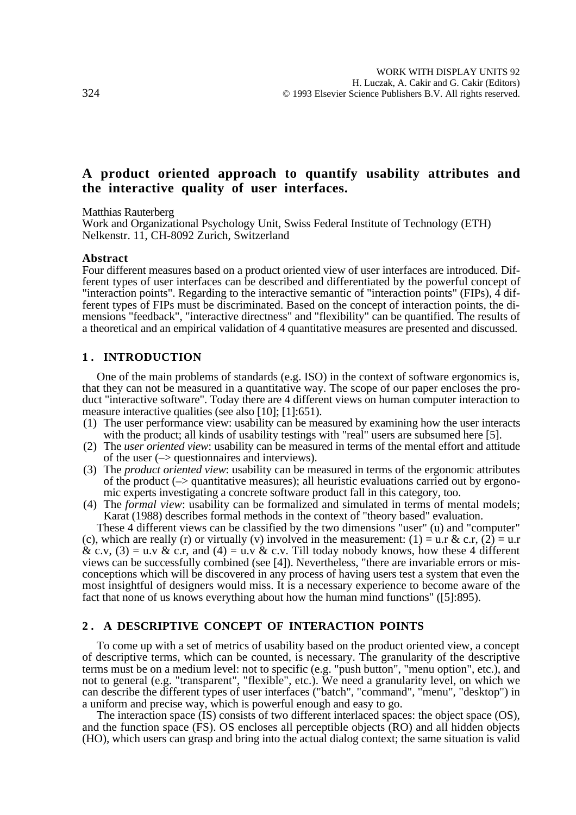# **A product oriented approach to quantify usability attributes and the interactive quality of user interfaces.**

Matthias Rauterberg

Work and Organizational Psychology Unit, Swiss Federal Institute of Technology (ETH) Nelkenstr. 11, CH-8092 Zurich, Switzerland

#### **Abstract**

Four different measures based on a product oriented view of user interfaces are introduced. Different types of user interfaces can be described and differentiated by the powerful concept of "interaction points". Regarding to the interactive semantic of "interaction points" (FIPs), 4 different types of FIPs must be discriminated. Based on the concept of interaction points, the dimensions "feedback", "interactive directness" and "flexibility" can be quantified. The results of a theoretical and an empirical validation of 4 quantitative measures are presented and discussed.

### **1 . INTRODUCTION**

One of the main problems of standards (e.g. ISO) in the context of software ergonomics is, that they can not be measured in a quantitative way. The scope of our paper encloses the product "interactive software". Today there are 4 different views on human computer interaction to measure interactive qualities (see also [10]; [1]:651).

- (1) The user performance view: usability can be measured by examining how the user interacts with the product; all kinds of usability testings with "real" users are subsumed here [5].
- (2) The *user oriented view*: usability can be measured in terms of the mental effort and attitude of the user  $(\rightarrow$  questionnaires and interviews).
- (3) The *product oriented view*: usability can be measured in terms of the ergonomic attributes of the product  $(\rightarrow)$  quantitative measures); all heuristic evaluations carried out by ergonomic experts investigating a concrete software product fall in this category, too.
- (4) The *formal view*: usability can be formalized and simulated in terms of mental models; Karat (1988) describes formal methods in the context of "theory based" evaluation.

These 4 different views can be classified by the two dimensions "user" (u) and "computer" (c), which are really (r) or virtually (v) involved in the measurement: (1) = u.r & c.r, (2) = u.r & c.v,  $(3) = u.v \& c.r.$  and  $(4) = u.v \& c.v.$  Till today nobody knows, how these 4 different views can be successfully combined (see [4]). Nevertheless, "there are invariable errors or misconceptions which will be discovered in any process of having users test a system that even the most insightful of designers would miss. It is a necessary experience to become aware of the fact that none of us knows everything about how the human mind functions" ([5]:895).

## **2 . A DESCRIPTIVE CONCEPT OF INTERACTION POINTS**

To come up with a set of metrics of usability based on the product oriented view, a concept of descriptive terms, which can be counted, is necessary. The granularity of the descriptive terms must be on a medium level: not to specific (e.g. "push button", "menu option", etc.), and not to general (e.g. "transparent", "flexible", etc.). We need a granularity level, on which we can describe the different types of user interfaces ("batch", "command", "menu", "desktop") in a uniform and precise way, which is powerful enough and easy to go.

The interaction space (IS) consists of two different interlaced spaces: the object space (OS), and the function space (FS). OS encloses all perceptible objects (RO) and all hidden objects (HO), which users can grasp and bring into the actual dialog context; the same situation is valid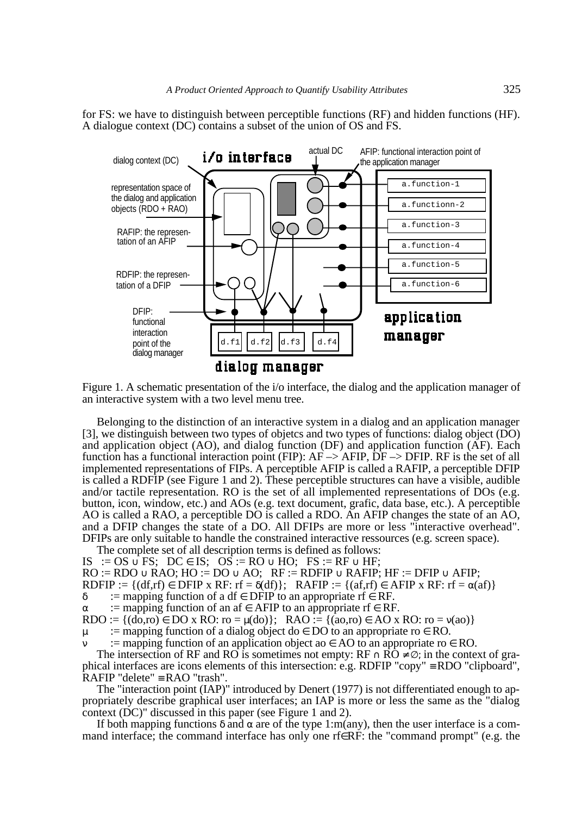for FS: we have to distinguish between perceptible functions (RF) and hidden functions (HF). A dialogue context (DC) contains a subset of the union of OS and FS.



Figure 1. A schematic presentation of the i/o interface, the dialog and the application manager of an interactive system with a two level menu tree.

Belonging to the distinction of an interactive system in a dialog and an application manager [3], we distinguish between two types of objetcs and two types of functions: dialog object (DO) and application object (AO), and dialog function (DF) and application function (AF). Each function has a functional interaction point (FIP):  $AF \rightarrow AFIP$ ,  $DF \rightarrow DFIP$ . RF is the set of all implemented representations of FIPs. A perceptible AFIP is called a RAFIP, a perceptible DFIP is called a RDFIP (see Figure 1 and 2). These perceptible structures can have a visible, audible and/or tactile representation. RO is the set of all implemented representations of DOs (e.g. button, icon, window, etc.) and AOs (e.g. text document, grafic, data base, etc.). A perceptible AO is called a RAO, a perceptible DO is called a RDO. An AFIP changes the state of an AO, and a DFIP changes the state of a DO. All DFIPs are more or less "interactive overhead". DFIPs are only suitable to handle the constrained interactive ressources (e.g. screen space).

The complete set of all description terms is defined as follows: IS :=  $OS \cup FS$ ; DC  $\in IS$ ; OS := RO  $\cup HO$ ; FS := RF  $\cup HF$ ;

 $RO := RDO \cup RAO$ ;  $HO := DO \cup AO$ ;  $RF := RDFIP \cup RAFIP$ ;  $HF := DFTP \cup AFIP$ ;

RDFIP :=  $\{(df, rf) \in DFTP \times RF: rf = \delta(df)\};$  RAFIP :=  $\{(af, rf) \in AFTP \times RF: rf = \alpha(af)\}\;$ 

 $\delta$  := mapping function of a df  $\epsilon$  DFIP to an appropriate rf  $\epsilon$  RF.

 $\alpha$  := mapping function of an af  $\in$  AFIP to an appropriate rf  $\in$  RF.

RDO :=  $\{(do, ro) \in DO \times RO: ro = \mu(do)\}; \text{ RAO} := \{(ao, ro) \in AO \times RO: ro = \nu(ao)\}$ 

 $\mu$  := mapping function of a dialog object do  $\in$  DO to an appropriate ro  $\in$  RO.

:= mapping function of an application object ao  $\in$  AO to an appropriate ro  $\in$  RO.

The intersection of RF and RO is sometimes not empty:  $RF \cap RO \neq \emptyset$ ; in the context of graphical interfaces are icons elements of this intersection: e.g. RDFIP "copy" ≡ RDO "clipboard",  $R$ AFIP "delete" ≡ RAO "trash".

The "interaction point (IAP)" introduced by Denert (1977) is not differentiated enough to appropriately describe graphical user interfaces; an IAP is more or less the same as the "dialog context (DC)" discussed in this paper (see Figure 1 and 2).

If both mapping functions  $\delta$  and  $\alpha$  are of the type 1:m(any), then the user interface is a command interface; the command interface has only one rf∈RF: the "command prompt" (e.g. the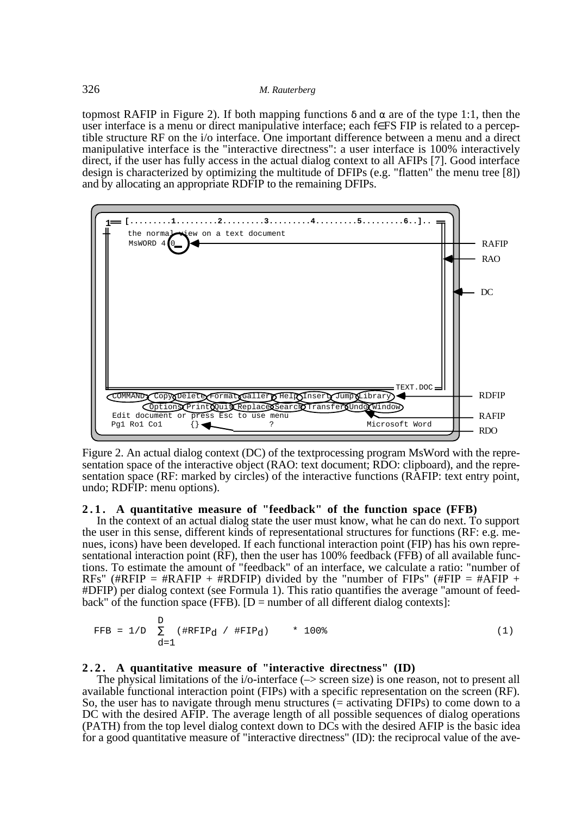topmost RAFIP in Figure 2). If both mapping functions δ and α are of the type 1:1, then the user interface is a menu or direct manipulative interface; each f∈FS FIP is related to a perceptible structure RF on the i/o interface. One important difference between a menu and a direct manipulative interface is the "interactive directness": a user interface is 100% interactively direct, if the user has fully access in the actual dialog context to all AFIPs [7]. Good interface design is characterized by optimizing the multitude of DFIPs (e.g. "flatten" the menu tree [8]) and by allocating an appropriate RDFIP to the remaining DFIPs.



Figure 2. An actual dialog context (DC) of the textprocessing program MsWord with the representation space of the interactive object (RAO: text document; RDO: clipboard), and the representation space (RF: marked by circles) of the interactive functions (RAFIP: text entry point, undo; RDFIP: menu options).

## **2 . 1 . A quantitative measure of "feedback" of the function space (FFB)**

In the context of an actual dialog state the user must know, what he can do next. To support the user in this sense, different kinds of representational structures for functions (RF: e.g. menues, icons) have been developed. If each functional interaction point (FIP) has his own representational interaction point (RF), then the user has 100% feedback (FFB) of all available functions. To estimate the amount of "feedback" of an interface, we calculate a ratio: "number of RFs" (#RFIP = #RAFIP + #RDFIP) divided by the "number of FIPs" (#FIP = #AFIP + #DFIP) per dialog context (see Formula 1). This ratio quantifies the average "amount of feedback" of the function space (FFB).  $[D]$  = number of all different dialog contexts]:

FFB = 
$$
1/D
$$
  $\sum_{d=1}^{D} (\text{HRFIP}_d / \text{FFIP}_d) \cdot * 100\%$  (1)

## **2 . 2 . A quantitative measure of "interactive directness" (ID)**

The physical limitations of the i/o-interface  $(\rightarrow$  screen size) is one reason, not to present all available functional interaction point (FIPs) with a specific representation on the screen (RF). So, the user has to navigate through menu structures (= activating DFIPs) to come down to a DC with the desired AFIP. The average length of all possible sequences of dialog operations (PATH) from the top level dialog context down to DCs with the desired AFIP is the basic idea for a good quantitative measure of "interactive directness" (ID): the reciprocal value of the ave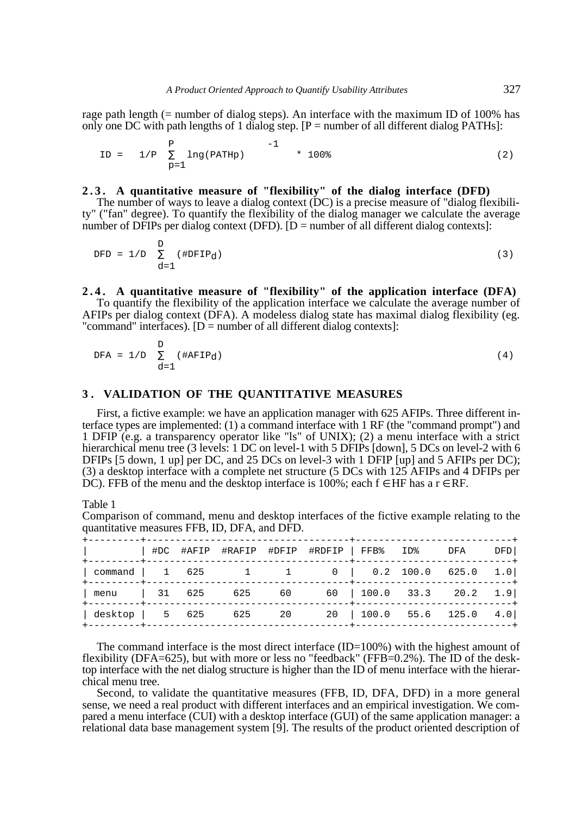rage path length (= number of dialog steps). An interface with the maximum ID of 100% has only one DC with path lengths of 1 dialog step.  $[P =$  number of all different dialog PATHs]:

$$
ID = \left\{ \begin{array}{cc} P & -1 \\ 1/P & \sum_{p=1}^{P} \ln(q) \text{ (PATH } p) \end{array} \right\} \rightarrow 1 \quad \star \quad 100\text{*} \tag{2}
$$

### **2 . 3 . A quantitative measure of "flexibility" of the dialog interface (DFD)**

The number of ways to leave a dialog context (DC) is a precise measure of "dialog flexibility" ("fan" degree). To quantify the flexibility of the dialog manager we calculate the average number of DFIPs per dialog context (DFD).  $[D =$  number of all different dialog contexts]:

$$
DFD = 1/D \sum_{d=1}^{D} (\# DFTP_d)
$$
 (3)

#### **2 . 4 . A quantitative measure of "flexibility" of the application interface (DFA)**

To quantify the flexibility of the application interface we calculate the average number of AFIPs per dialog context (DFA). A modeless dialog state has maximal dialog flexibility (eg. "command" interfaces).  $[D]$  = number of all different dialog contexts]:

$$
DFA = 1/D \sum_{d=1}^{D} (\#AFTP_d)
$$
 (4)

#### **3 . VALIDATION OF THE QUANTITATIVE MEASURES**

First, a fictive example: we have an application manager with 625 AFIPs. Three different interface types are implemented: (1) a command interface with 1 RF (the "command prompt") and 1 DFIP (e.g. a transparency operator like "ls" of UNIX); (2) a menu interface with a strict hierarchical menu tree (3 levels: 1 DC on level-1 with 5 DFIPs [down], 5 DCs on level-2 with 6 DFIPs [5 down, 1 up] per DC, and 25 DCs on level-3 with 1 DFIP [up] and 5 AFIPs per DC); (3) a desktop interface with a complete net structure (5 DCs with 125 AFIPs and 4 DFIPs per DC). FFB of the menu and the desktop interface is 100%; each  $f \in HF$  has a  $r \in RF$ .

Table 1

Comparison of command, menu and desktop interfaces of the fictive example relating to the quantitative measures FFB, ID, DFA, and DFD.

|                                               |  |  | #DC #AFIP #RAFIP #DFIP #RDFIP   FFB% ID% DFA                       |  | DFD |
|-----------------------------------------------|--|--|--------------------------------------------------------------------|--|-----|
| $\vert$ command $\vert$ 1 625                 |  |  | $1 \qquad 1 \qquad 0 \qquad 0.2 \quad 100.0 \quad 625.0 \quad 1.0$ |  |     |
| menu   31 625 625 60 60   100.0 33.3 20.2 1.9 |  |  |                                                                    |  |     |
| $\vert$ desktop $\vert$ 5 625                 |  |  | 625 20 20 100.0 55.6 125.0 4.0                                     |  |     |

The command interface is the most direct interface  $(ID=100%)$  with the highest amount of flexibility (DFA=625), but with more or less no "feedback" (FFB=0.2%). The ID of the desktop interface with the net dialog structure is higher than the ID of menu interface with the hierarchical menu tree.

Second, to validate the quantitative measures (FFB, ID, DFA, DFD) in a more general sense, we need a real product with different interfaces and an empirical investigation. We compared a menu interface (CUI) with a desktop interface (GUI) of the same application manager: a relational data base management system [9]. The results of the product oriented description of